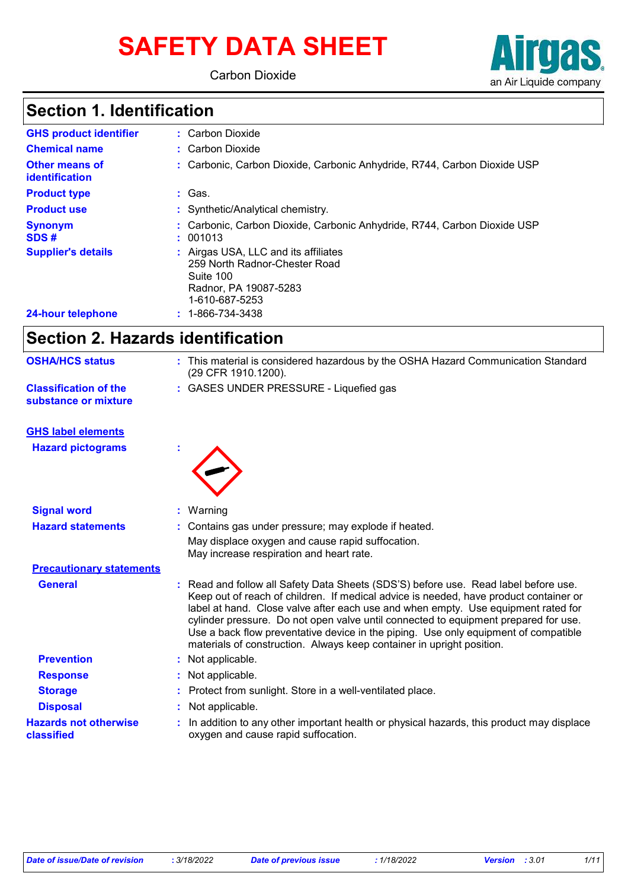# **SAFETY DATA SHEET**

Carbon Dioxide



### **Section 1. Identification**

| <b>GHS product identifier</b>           | : Carbon Dioxide                                                                                                            |
|-----------------------------------------|-----------------------------------------------------------------------------------------------------------------------------|
| <b>Chemical name</b>                    | : Carbon Dioxide                                                                                                            |
| <b>Other means of</b><br>identification | : Carbonic, Carbon Dioxide, Carbonic Anhydride, R744, Carbon Dioxide USP                                                    |
| <b>Product type</b>                     | : Gas.                                                                                                                      |
| <b>Product use</b>                      | : Synthetic/Analytical chemistry.                                                                                           |
| <b>Synonym</b><br>SDS#                  | Carbonic, Carbon Dioxide, Carbonic Anhydride, R744, Carbon Dioxide USP<br>: 001013                                          |
| <b>Supplier's details</b>               | Airgas USA, LLC and its affiliates<br>259 North Radnor-Chester Road<br>Suite 100<br>Radnor, PA 19087-5283<br>1-610-687-5253 |
| 24-hour telephone                       | 1-866-734-3438                                                                                                              |

### **Section 2. Hazards identification**

| <b>OSHA/HCS status</b>                               |    | : This material is considered hazardous by the OSHA Hazard Communication Standard<br>(29 CFR 1910.1200).                                                                                                                                                                                                                                                                                                                                                                                                               |
|------------------------------------------------------|----|------------------------------------------------------------------------------------------------------------------------------------------------------------------------------------------------------------------------------------------------------------------------------------------------------------------------------------------------------------------------------------------------------------------------------------------------------------------------------------------------------------------------|
| <b>Classification of the</b><br>substance or mixture |    | : GASES UNDER PRESSURE - Liquefied gas                                                                                                                                                                                                                                                                                                                                                                                                                                                                                 |
| <b>GHS label elements</b>                            |    |                                                                                                                                                                                                                                                                                                                                                                                                                                                                                                                        |
| <b>Hazard pictograms</b>                             |    |                                                                                                                                                                                                                                                                                                                                                                                                                                                                                                                        |
| <b>Signal word</b>                                   | t. | Warning                                                                                                                                                                                                                                                                                                                                                                                                                                                                                                                |
| <b>Hazard statements</b>                             |    | Contains gas under pressure; may explode if heated.<br>May displace oxygen and cause rapid suffocation.<br>May increase respiration and heart rate.                                                                                                                                                                                                                                                                                                                                                                    |
| <b>Precautionary statements</b>                      |    |                                                                                                                                                                                                                                                                                                                                                                                                                                                                                                                        |
| <b>General</b>                                       |    | Read and follow all Safety Data Sheets (SDS'S) before use. Read label before use.<br>Keep out of reach of children. If medical advice is needed, have product container or<br>label at hand. Close valve after each use and when empty. Use equipment rated for<br>cylinder pressure. Do not open valve until connected to equipment prepared for use.<br>Use a back flow preventative device in the piping. Use only equipment of compatible<br>materials of construction. Always keep container in upright position. |
| <b>Prevention</b>                                    |    | : Not applicable.                                                                                                                                                                                                                                                                                                                                                                                                                                                                                                      |
| <b>Response</b>                                      |    | Not applicable.                                                                                                                                                                                                                                                                                                                                                                                                                                                                                                        |
| <b>Storage</b>                                       |    | Protect from sunlight. Store in a well-ventilated place.                                                                                                                                                                                                                                                                                                                                                                                                                                                               |
| <b>Disposal</b>                                      |    | Not applicable.                                                                                                                                                                                                                                                                                                                                                                                                                                                                                                        |
| <b>Hazards not otherwise</b><br>classified           |    | In addition to any other important health or physical hazards, this product may displace<br>oxygen and cause rapid suffocation.                                                                                                                                                                                                                                                                                                                                                                                        |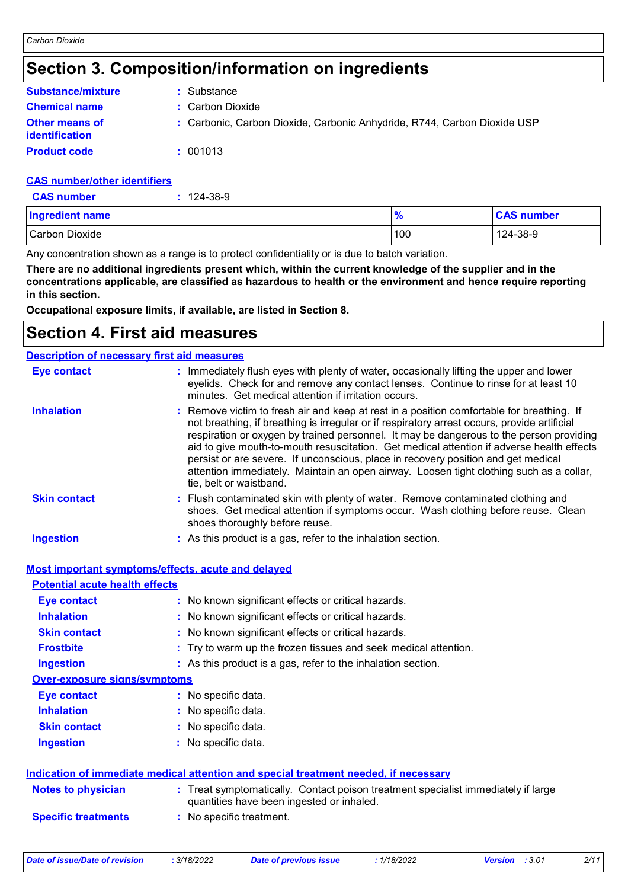### **Section 3. Composition/information on ingredients**

| <b>Substance/mixture</b>                       | : Substance                                                              |
|------------------------------------------------|--------------------------------------------------------------------------|
| <b>Chemical name</b>                           | : Carbon Dioxide                                                         |
| <b>Other means of</b><br><i>identification</i> | : Carbonic, Carbon Dioxide, Carbonic Anhydride, R744, Carbon Dioxide USP |
| <b>Product code</b>                            | : 001013                                                                 |

#### **CAS number/other identifiers**

| <b>CAS number</b> | $: 124 - 38 - 9$ |
|-------------------|------------------|
|-------------------|------------------|

| <b>Ingredient name</b> | 70  | <b>CAS number</b> |
|------------------------|-----|-------------------|
| Carbon Dioxide         | 100 | 124-38-9          |

Any concentration shown as a range is to protect confidentiality or is due to batch variation.

**There are no additional ingredients present which, within the current knowledge of the supplier and in the concentrations applicable, are classified as hazardous to health or the environment and hence require reporting in this section.**

**Occupational exposure limits, if available, are listed in Section 8.**

### **Section 4. First aid measures**

| <b>Description of necessary first aid measures</b> |                                                                                                                                                                                                                                                                                                                                                                                                                                                                                                                                                                                              |
|----------------------------------------------------|----------------------------------------------------------------------------------------------------------------------------------------------------------------------------------------------------------------------------------------------------------------------------------------------------------------------------------------------------------------------------------------------------------------------------------------------------------------------------------------------------------------------------------------------------------------------------------------------|
| <b>Eye contact</b>                                 | : Immediately flush eyes with plenty of water, occasionally lifting the upper and lower<br>eyelids. Check for and remove any contact lenses. Continue to rinse for at least 10<br>minutes. Get medical attention if irritation occurs.                                                                                                                                                                                                                                                                                                                                                       |
| <b>Inhalation</b>                                  | : Remove victim to fresh air and keep at rest in a position comfortable for breathing. If<br>not breathing, if breathing is irregular or if respiratory arrest occurs, provide artificial<br>respiration or oxygen by trained personnel. It may be dangerous to the person providing<br>aid to give mouth-to-mouth resuscitation. Get medical attention if adverse health effects<br>persist or are severe. If unconscious, place in recovery position and get medical<br>attention immediately. Maintain an open airway. Loosen tight clothing such as a collar,<br>tie, belt or waistband. |
| <b>Skin contact</b>                                | : Flush contaminated skin with plenty of water. Remove contaminated clothing and<br>shoes. Get medical attention if symptoms occur. Wash clothing before reuse. Clean<br>shoes thoroughly before reuse.                                                                                                                                                                                                                                                                                                                                                                                      |
| Ingestion                                          | : As this product is a gas, refer to the inhalation section.                                                                                                                                                                                                                                                                                                                                                                                                                                                                                                                                 |

| Most important symptoms/effects, acute and delaved |
|----------------------------------------------------|
|----------------------------------------------------|

| <b>Potential acute health effects</b> |                                                                                                                                |
|---------------------------------------|--------------------------------------------------------------------------------------------------------------------------------|
| <b>Eye contact</b>                    | : No known significant effects or critical hazards.                                                                            |
| <b>Inhalation</b>                     | : No known significant effects or critical hazards.                                                                            |
| <b>Skin contact</b>                   | : No known significant effects or critical hazards.                                                                            |
| <b>Frostbite</b>                      | : Try to warm up the frozen tissues and seek medical attention.                                                                |
| <b>Ingestion</b>                      | : As this product is a gas, refer to the inhalation section.                                                                   |
| Over-exposure signs/symptoms          |                                                                                                                                |
| <b>Eye contact</b>                    | : No specific data.                                                                                                            |
| <b>Inhalation</b>                     | : No specific data.                                                                                                            |
| <b>Skin contact</b>                   | : No specific data.                                                                                                            |
| <b>Ingestion</b>                      | $:$ No specific data.                                                                                                          |
|                                       | <u>Indication of immediate medical attention and special treatment needed, if necessary</u>                                    |
| <b>Notes to physician</b>             | : Treat symptomatically. Contact poison treatment specialist immediately if large<br>quantities have been ingested or inhaled. |
| <b>Specific treatments</b>            | : No specific treatment.                                                                                                       |
|                                       |                                                                                                                                |

```
Date of issue/Date of revision : 3/18/2022 Date of previous issue : 1/18/2022 Version : 3.01 2/11
```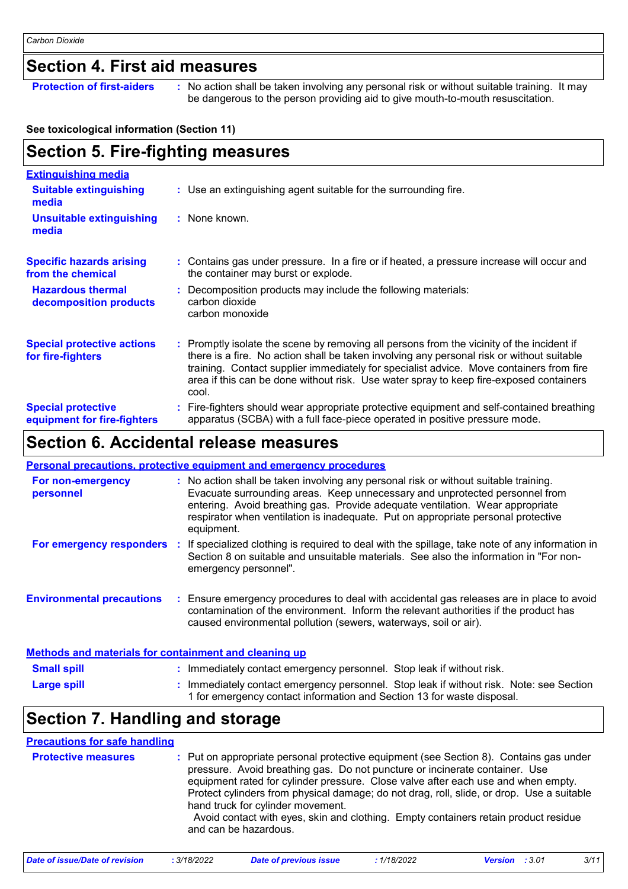### **Section 4. First aid measures**

**Protection of first-aiders** : No action shall be taken involving any personal risk or without suitable training. It may be dangerous to the person providing aid to give mouth-to-mouth resuscitation.

#### **See toxicological information (Section 11)**

#### **Section 5. Fire-fighting measures** Promptly isolate the scene by removing all persons from the vicinity of the incident if **:** there is a fire. No action shall be taken involving any personal risk or without suitable training. Contact supplier immediately for specialist advice. Move containers from fire area if this can be done without risk. Use water spray to keep fire-exposed containers cool. **Hazardous thermal decomposition products Specific hazards arising from the chemical** Decomposition products may include the following materials: **:** carbon dioxide carbon monoxide Contains gas under pressure. In a fire or if heated, a pressure increase will occur and **:** the container may burst or explode. Fire-fighters should wear appropriate protective equipment and self-contained breathing **:** apparatus (SCBA) with a full face-piece operated in positive pressure mode. **Special protective equipment for fire-fighters** Use an extinguishing agent suitable for the surrounding fire. **: Extinguishing media :** None known. **Suitable extinguishing media Unsuitable extinguishing media Special protective actions for fire-fighters**

### **Section 6. Accidental release measures**

|                                  | Personal precautions, protective equipment and emergency procedures                                                                                                                                                                                                                                                                                     |
|----------------------------------|---------------------------------------------------------------------------------------------------------------------------------------------------------------------------------------------------------------------------------------------------------------------------------------------------------------------------------------------------------|
| For non-emergency<br>personnel   | : No action shall be taken involving any personal risk or without suitable training.<br>Evacuate surrounding areas. Keep unnecessary and unprotected personnel from<br>entering. Avoid breathing gas. Provide adequate ventilation. Wear appropriate<br>respirator when ventilation is inadequate. Put on appropriate personal protective<br>equipment. |
| For emergency responders         | : If specialized clothing is required to deal with the spillage, take note of any information in<br>Section 8 on suitable and unsuitable materials. See also the information in "For non-<br>emergency personnel".                                                                                                                                      |
| <b>Environmental precautions</b> | : Ensure emergency procedures to deal with accidental gas releases are in place to avoid<br>contamination of the environment. Inform the relevant authorities if the product has<br>caused environmental pollution (sewers, waterways, soil or air).                                                                                                    |
|                                  |                                                                                                                                                                                                                                                                                                                                                         |

| Methods and materials for containment and cleaning up |                                                                                                                                                                 |  |  |  |
|-------------------------------------------------------|-----------------------------------------------------------------------------------------------------------------------------------------------------------------|--|--|--|
| <b>Small spill</b>                                    | : Immediately contact emergency personnel. Stop leak if without risk.                                                                                           |  |  |  |
| <b>Large spill</b>                                    | Immediately contact emergency personnel. Stop leak if without risk. Note: see Section<br>1 for emergency contact information and Section 13 for waste disposal. |  |  |  |

### **Section 7. Handling and storage**

#### **Protective measures** : Put on appropriate personal protective equipment (see Section 8). Contains gas under interpressure. Avoid breathing gas. Do not puncture or incinerate container. Use equipment rated for cylinder pressure. Close valve after each use and when empty. Protect cylinders from physical damage; do not drag, roll, slide, or drop. Use a suitable hand truck for cylinder movement. Avoid contact with eyes, skin and clothing. Empty containers retain product residue and can be hazardous. **Precautions for safe handling**

| Date of issue/Date of revision | 3/18/2022 | Date of previous issue | 1/18/2022 | :3.01<br><b>Version</b> | 3/11 |
|--------------------------------|-----------|------------------------|-----------|-------------------------|------|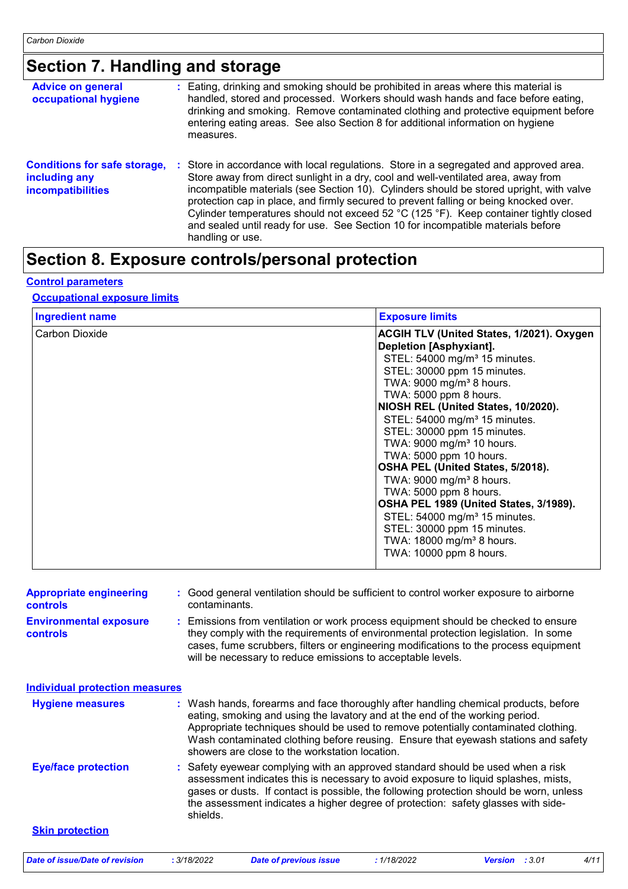## **Section 7. Handling and storage**

| <b>Advice on general</b><br>occupational hygiene                                 | : Eating, drinking and smoking should be prohibited in areas where this material is<br>handled, stored and processed. Workers should wash hands and face before eating,<br>drinking and smoking. Remove contaminated clothing and protective equipment before<br>entering eating areas. See also Section 8 for additional information on hygiene<br>measures.                                                                                                                                                                                                     |
|----------------------------------------------------------------------------------|-------------------------------------------------------------------------------------------------------------------------------------------------------------------------------------------------------------------------------------------------------------------------------------------------------------------------------------------------------------------------------------------------------------------------------------------------------------------------------------------------------------------------------------------------------------------|
| <b>Conditions for safe storage,</b><br>including any<br><b>incompatibilities</b> | : Store in accordance with local regulations. Store in a segregated and approved area.<br>Store away from direct sunlight in a dry, cool and well-ventilated area, away from<br>incompatible materials (see Section 10). Cylinders should be stored upright, with valve<br>protection cap in place, and firmly secured to prevent falling or being knocked over.<br>Cylinder temperatures should not exceed 52 °C (125 °F). Keep container tightly closed<br>and sealed until ready for use. See Section 10 for incompatible materials before<br>handling or use. |

### **Section 8. Exposure controls/personal protection**

#### **Control parameters**

#### **Occupational exposure limits**

| <b>Exposure limits</b>                    |
|-------------------------------------------|
| ACGIH TLV (United States, 1/2021). Oxygen |
| Depletion [Asphyxiant].                   |
| STEL: 54000 mg/m <sup>3</sup> 15 minutes. |
| STEL: 30000 ppm 15 minutes.               |
| TWA: 9000 mg/m <sup>3</sup> 8 hours.      |
| TWA: 5000 ppm 8 hours.                    |
| NIOSH REL (United States, 10/2020).       |
| STEL: 54000 mg/m <sup>3</sup> 15 minutes. |
| STEL: 30000 ppm 15 minutes.               |
| TWA: 9000 mg/m <sup>3</sup> 10 hours.     |
| TWA: 5000 ppm 10 hours.                   |
| OSHA PEL (United States, 5/2018).         |
| TWA: $9000 \text{ mg/m}^3$ 8 hours.       |
| TWA: 5000 ppm 8 hours.                    |
| OSHA PEL 1989 (United States, 3/1989).    |
| STEL: 54000 mg/m <sup>3</sup> 15 minutes. |
| STEL: 30000 ppm 15 minutes.               |
| TWA: 18000 mg/m <sup>3</sup> 8 hours.     |
| TWA: 10000 ppm 8 hours.                   |
|                                           |

| <b>Appropriate engineering</b><br><b>controls</b><br><b>Environmental exposure</b><br><b>controls</b> | : Good general ventilation should be sufficient to control worker exposure to airborne<br>contaminants.<br>: Emissions from ventilation or work process equipment should be checked to ensure<br>they comply with the requirements of environmental protection legislation. In some<br>cases, fume scrubbers, filters or engineering modifications to the process equipment                       |
|-------------------------------------------------------------------------------------------------------|---------------------------------------------------------------------------------------------------------------------------------------------------------------------------------------------------------------------------------------------------------------------------------------------------------------------------------------------------------------------------------------------------|
|                                                                                                       | will be necessary to reduce emissions to acceptable levels.                                                                                                                                                                                                                                                                                                                                       |
| <b>Individual protection measures</b>                                                                 |                                                                                                                                                                                                                                                                                                                                                                                                   |
| <b>Hygiene measures</b>                                                                               | : Wash hands, forearms and face thoroughly after handling chemical products, before<br>eating, smoking and using the lavatory and at the end of the working period.<br>Appropriate techniques should be used to remove potentially contaminated clothing.<br>Wash contaminated clothing before reusing. Ensure that eyewash stations and safety<br>showers are close to the workstation location. |
| <b>Eye/face protection</b>                                                                            | : Safety eyewear complying with an approved standard should be used when a risk<br>assessment indicates this is necessary to avoid exposure to liquid splashes, mists,<br>gases or dusts. If contact is possible, the following protection should be worn, unless<br>the assessment indicates a higher degree of protection: safety glasses with side-<br>shields.                                |
| <b>Skin protection</b>                                                                                |                                                                                                                                                                                                                                                                                                                                                                                                   |
| Date of issue/Date of revision                                                                        | 4/11<br>: 3/18/2022<br><b>Date of previous issue</b><br>: 1/18/2022<br>Version : 3.01                                                                                                                                                                                                                                                                                                             |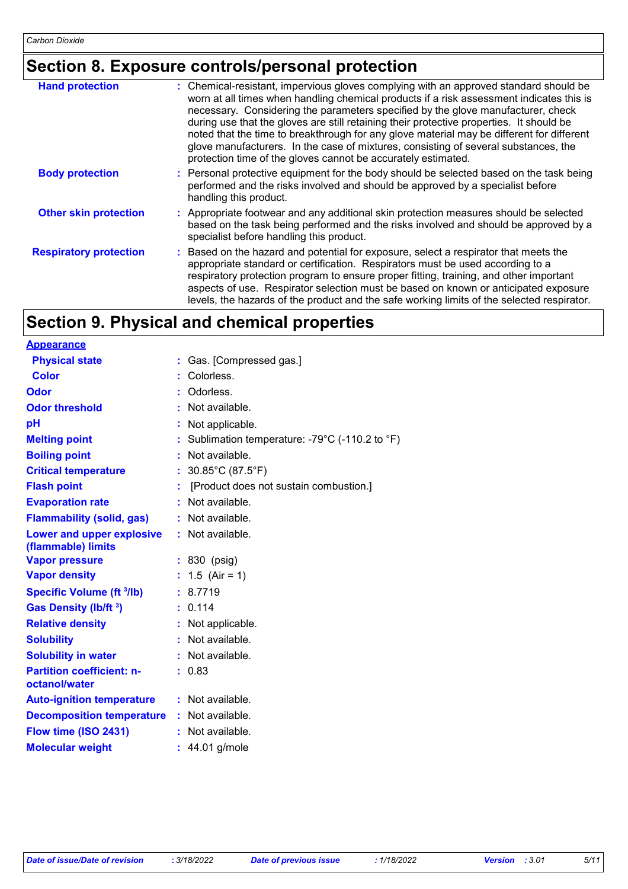## **Section 8. Exposure controls/personal protection**

| <b>Hand protection</b>        | : Chemical-resistant, impervious gloves complying with an approved standard should be<br>worn at all times when handling chemical products if a risk assessment indicates this is<br>necessary. Considering the parameters specified by the glove manufacturer, check<br>during use that the gloves are still retaining their protective properties. It should be<br>noted that the time to breakthrough for any glove material may be different for different<br>glove manufacturers. In the case of mixtures, consisting of several substances, the<br>protection time of the gloves cannot be accurately estimated. |
|-------------------------------|------------------------------------------------------------------------------------------------------------------------------------------------------------------------------------------------------------------------------------------------------------------------------------------------------------------------------------------------------------------------------------------------------------------------------------------------------------------------------------------------------------------------------------------------------------------------------------------------------------------------|
| <b>Body protection</b>        | : Personal protective equipment for the body should be selected based on the task being<br>performed and the risks involved and should be approved by a specialist before<br>handling this product.                                                                                                                                                                                                                                                                                                                                                                                                                    |
| <b>Other skin protection</b>  | : Appropriate footwear and any additional skin protection measures should be selected<br>based on the task being performed and the risks involved and should be approved by a<br>specialist before handling this product.                                                                                                                                                                                                                                                                                                                                                                                              |
| <b>Respiratory protection</b> | : Based on the hazard and potential for exposure, select a respirator that meets the<br>appropriate standard or certification. Respirators must be used according to a<br>respiratory protection program to ensure proper fitting, training, and other important<br>aspects of use. Respirator selection must be based on known or anticipated exposure<br>levels, the hazards of the product and the safe working limits of the selected respirator.                                                                                                                                                                  |

### **Section 9. Physical and chemical properties**

| <b>Appearance</b>                                 |                                               |
|---------------------------------------------------|-----------------------------------------------|
| <b>Physical state</b>                             | Gas. [Compressed gas.]                        |
| <b>Color</b>                                      | Colorless.                                    |
| Odor                                              | Odorless.                                     |
| <b>Odor threshold</b>                             | Not available.                                |
| pH                                                | Not applicable.                               |
| <b>Melting point</b>                              | Sublimation temperature: -79°C (-110.2 to °F) |
| <b>Boiling point</b>                              | Not available.                                |
| <b>Critical temperature</b>                       | 30.85°C (87.5°F)                              |
| <b>Flash point</b>                                | [Product does not sustain combustion.]        |
| <b>Evaporation rate</b>                           | Not available.                                |
| <b>Flammability (solid, gas)</b>                  | : Not available.                              |
| Lower and upper explosive<br>(flammable) limits   | : Not available.                              |
| <b>Vapor pressure</b>                             | $: 830$ (psig)                                |
| <b>Vapor density</b>                              | 1.5 (Air = 1)                                 |
| <b>Specific Volume (ft 3/lb)</b>                  | : 8.7719                                      |
| Gas Density (lb/ft <sup>3</sup> )                 | : 0.114                                       |
| <b>Relative density</b>                           | : Not applicable.                             |
| <b>Solubility</b>                                 | Not available.                                |
| <b>Solubility in water</b>                        | : Not available.                              |
| <b>Partition coefficient: n-</b><br>octanol/water | : 0.83                                        |
| <b>Auto-ignition temperature</b>                  | : Not available.                              |
| <b>Decomposition temperature</b>                  | Not available.                                |
| Flow time (ISO 2431)                              | : Not available.                              |
| <b>Molecular weight</b>                           | $: 44.01$ g/mole                              |
|                                                   |                                               |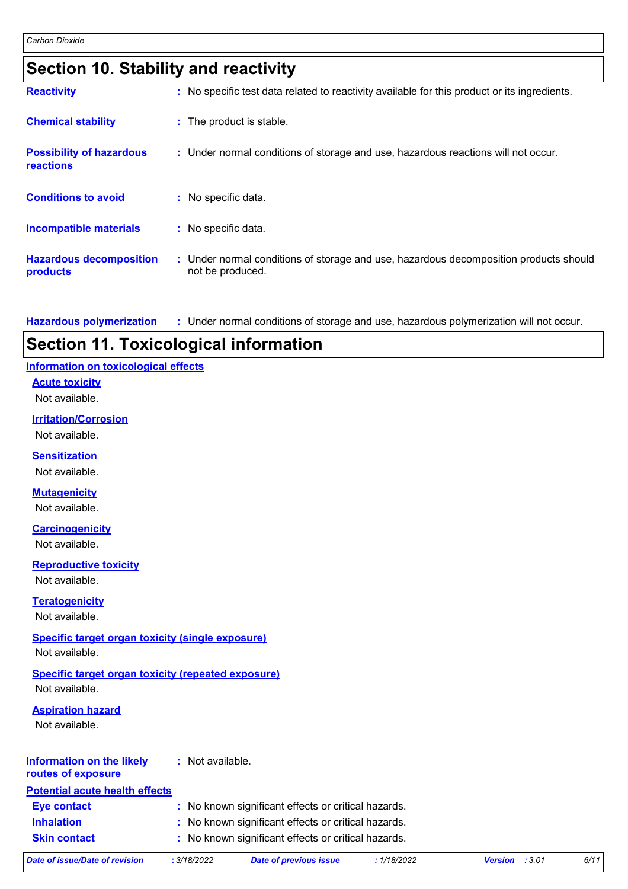| Section 10. Stability and reactivity |  |
|--------------------------------------|--|
|--------------------------------------|--|

| <b>Reactivity</b>                            | : No specific test data related to reactivity available for this product or its ingredients.              |
|----------------------------------------------|-----------------------------------------------------------------------------------------------------------|
| <b>Chemical stability</b>                    | : The product is stable.                                                                                  |
| <b>Possibility of hazardous</b><br>reactions | : Under normal conditions of storage and use, hazardous reactions will not occur.                         |
| <b>Conditions to avoid</b>                   | : No specific data.                                                                                       |
| <b>Incompatible materials</b>                | : No specific data.                                                                                       |
| <b>Hazardous decomposition</b><br>products   | : Under normal conditions of storage and use, hazardous decomposition products should<br>not be produced. |

**Hazardous polymerization :** Under normal conditions of storage and use, hazardous polymerization will not occur.

### **Section 11. Toxicological information**

#### **Information on toxicological effects**

**Acute toxicity**

Not available.

#### **Irritation/Corrosion**

Not available.

#### **Sensitization**

Not available.

#### **Mutagenicity**

Not available.

#### **Carcinogenicity**

Not available.

#### **Reproductive toxicity**

Not available.

#### **Teratogenicity**

Not available.

#### **Specific target organ toxicity (single exposure)**

Not available.

### **Specific target organ toxicity (repeated exposure)**

Not available.

#### **Aspiration hazard**

Not available.

#### **Information on the likely routes of exposure :** Not available.

### **Potential acute health effects**

| <b>Eye contact</b>  | : No known significant effects or critical hazards. |
|---------------------|-----------------------------------------------------|
| <b>Inhalation</b>   | : No known significant effects or critical hazards. |
| <b>Skin contact</b> | : No known significant effects or critical hazards. |

| Date of issue/Date of revision | 3/18/2022 | Date of previous issue | 1/18/2022 | <b>Version</b> : 3.01 |  |
|--------------------------------|-----------|------------------------|-----------|-----------------------|--|
|                                |           |                        |           |                       |  |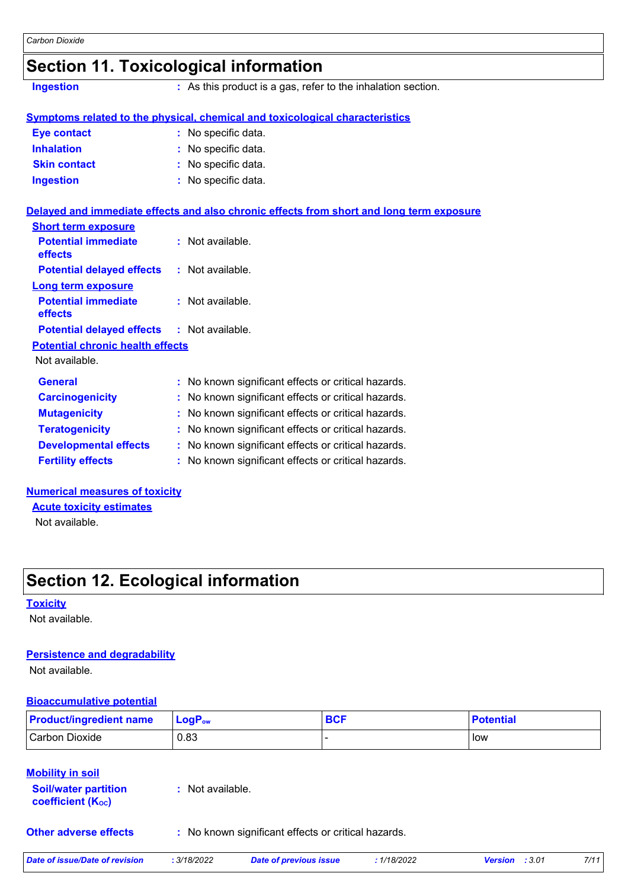### **Section 11. Toxicological information**

**Ingestion :** As this product is a gas, refer to the inhalation section.

|                     | <u>Symptoms related to the physical, chemical and toxicological characteristics</u> |
|---------------------|-------------------------------------------------------------------------------------|
| <b>The contract</b> | . Na anaaifin data                                                                  |

| : No specific data. |
|---------------------|
| : No specific data. |
| : No specific data. |
| : No specific data. |
|                     |

#### **Delayed and immediate effects and also chronic effects from short and long term exposure**

| <b>Short term exposure</b>            |                  |
|---------------------------------------|------------------|
| <b>Potential immediate</b><br>effects | : Not available. |
| <b>Potential delayed effects</b>      | : Not available. |
| Long term exposure                    |                  |
| <b>Potential immediate</b><br>effects | : Not available. |
| <b>Potential delayed effects</b>      | : Not available. |
| Datantial abranic haalth affacte      |                  |

#### **Potential chronic health effects**

Not available.

| <b>General</b>               | : No known significant effects or critical hazards. |
|------------------------------|-----------------------------------------------------|
| <b>Carcinogenicity</b>       | : No known significant effects or critical hazards. |
| <b>Mutagenicity</b>          | : No known significant effects or critical hazards. |
| <b>Teratogenicity</b>        | : No known significant effects or critical hazards. |
| <b>Developmental effects</b> | : No known significant effects or critical hazards. |
| <b>Fertility effects</b>     | : No known significant effects or critical hazards. |

#### **Numerical measures of toxicity**

Not available. **Acute toxicity estimates**

### **Section 12. Ecological information**

#### **Toxicity**

Not available.

#### **Persistence and degradability**

Not available.

#### **Bioaccumulative potential**

| <b>Product/ingredient name</b>                                                     | $LogP_{ow}$      | <b>BCF</b> | <b>Potential</b> |
|------------------------------------------------------------------------------------|------------------|------------|------------------|
| <b>Carbon Dioxide</b>                                                              | 0.83             |            | low              |
| <b>Mobility in soil</b><br><b>Soil/water partition</b><br><b>coefficient (Koc)</b> | : Not available. |            |                  |

**Other adverse effects** : No known significant effects or critical hazards.

| Date of issue/Date of revision | .3/18/2022 | <b>Date of previous issue</b> | 1/18/2022 | <b>Version</b> : 3.01 | 7/11 |
|--------------------------------|------------|-------------------------------|-----------|-----------------------|------|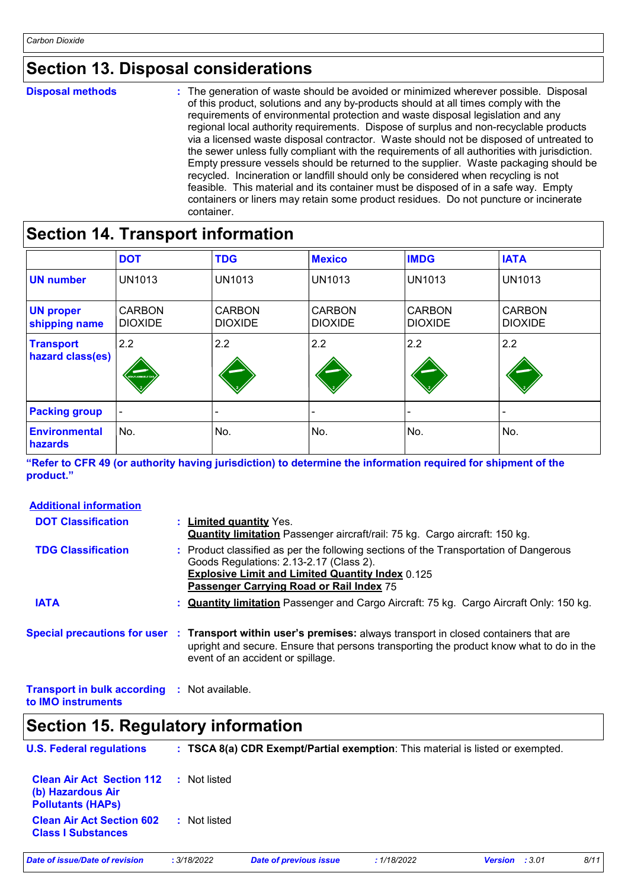### **Section 13. Disposal considerations**

#### **Disposal methods :**

The generation of waste should be avoided or minimized wherever possible. Disposal of this product, solutions and any by-products should at all times comply with the requirements of environmental protection and waste disposal legislation and any regional local authority requirements. Dispose of surplus and non-recyclable products via a licensed waste disposal contractor. Waste should not be disposed of untreated to the sewer unless fully compliant with the requirements of all authorities with jurisdiction. Empty pressure vessels should be returned to the supplier. Waste packaging should be recycled. Incineration or landfill should only be considered when recycling is not feasible. This material and its container must be disposed of in a safe way. Empty containers or liners may retain some product residues. Do not puncture or incinerate container.

### **Section 14. Transport information**

|                                      | <b>DOT</b>                      | <b>TDG</b>                      | <b>Mexico</b>                   | <b>IMDG</b>                     | <b>IATA</b>                     |
|--------------------------------------|---------------------------------|---------------------------------|---------------------------------|---------------------------------|---------------------------------|
| <b>UN number</b>                     | <b>UN1013</b>                   | <b>UN1013</b>                   | <b>UN1013</b>                   | <b>UN1013</b>                   | <b>UN1013</b>                   |
| <b>UN proper</b><br>shipping name    | <b>CARBON</b><br><b>DIOXIDE</b> | <b>CARBON</b><br><b>DIOXIDE</b> | <b>CARBON</b><br><b>DIOXIDE</b> | <b>CARBON</b><br><b>DIOXIDE</b> | <b>CARBON</b><br><b>DIOXIDE</b> |
| <b>Transport</b><br>hazard class(es) | 2.2<br><b>NON-FLAMMABLE GA</b>  | 2.2                             | 2.2                             | 2.2                             | 2.2                             |
| <b>Packing group</b>                 | $\blacksquare$                  |                                 |                                 |                                 | $\overline{\phantom{a}}$        |
| <b>Environmental</b><br>hazards      | No.                             | No.                             | No.                             | No.                             | No.                             |

**"Refer to CFR 49 (or authority having jurisdiction) to determine the information required for shipment of the product."** 

| <b>Additional information</b>                                             |                                                                                                                                                                                                                                                 |
|---------------------------------------------------------------------------|-------------------------------------------------------------------------------------------------------------------------------------------------------------------------------------------------------------------------------------------------|
| <b>DOT Classification</b>                                                 | : Limited quantity Yes.<br><b>Quantity limitation</b> Passenger aircraft/rail: 75 kg. Cargo aircraft: 150 kg.                                                                                                                                   |
| <b>TDG Classification</b>                                                 | : Product classified as per the following sections of the Transportation of Dangerous<br>Goods Regulations: 2.13-2.17 (Class 2).<br><b>Explosive Limit and Limited Quantity Index 0.125</b><br>Passenger Carrying Road or Rail Index 75         |
| <b>IATA</b>                                                               | : <b>Quantity limitation</b> Passenger and Cargo Aircraft: 75 kg. Cargo Aircraft Only: 150 kg.                                                                                                                                                  |
|                                                                           | Special precautions for user : Transport within user's premises: always transport in closed containers that are<br>upright and secure. Ensure that persons transporting the product know what to do in the<br>event of an accident or spillage. |
| <b>Transport in bulk according : Not available.</b><br>to IMO instruments |                                                                                                                                                                                                                                                 |

### **Section 15. Regulatory information**

| <b>U.S. Federal regulations</b>                                                   |              | : TSCA 8(a) CDR Exempt/Partial exemption: This material is listed or exempted. |             |                       |      |
|-----------------------------------------------------------------------------------|--------------|--------------------------------------------------------------------------------|-------------|-----------------------|------|
| <b>Clean Air Act Section 112</b><br>(b) Hazardous Air<br><b>Pollutants (HAPs)</b> | : Not listed |                                                                                |             |                       |      |
| <b>Clean Air Act Section 602</b><br><b>Class I Substances</b>                     | : Not listed |                                                                                |             |                       |      |
| Date of issue/Date of revision                                                    | : 3/18/2022  | <b>Date of previous issue</b>                                                  | : 1/18/2022 | <b>Version</b> : 3.01 | 8/11 |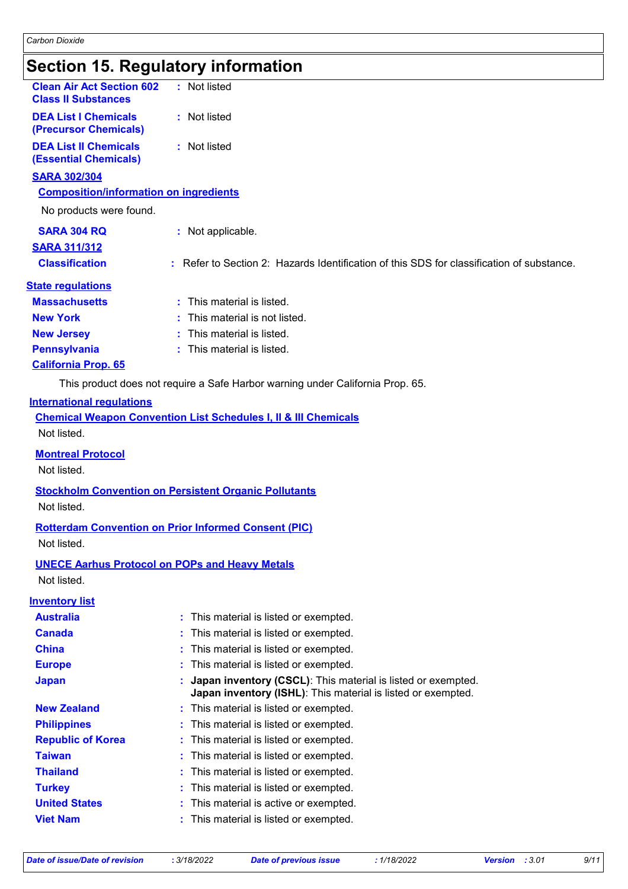### **Section 15. Regulatory information**

| Secuon 15. Regulatory information                                    |                                                                                           |
|----------------------------------------------------------------------|-------------------------------------------------------------------------------------------|
| <b>Clean Air Act Section 602</b><br><b>Class II Substances</b>       | : Not listed                                                                              |
| <b>DEA List I Chemicals</b><br>(Precursor Chemicals)                 | : Not listed                                                                              |
| <b>DEA List II Chemicals</b><br><b>(Essential Chemicals)</b>         | : Not listed                                                                              |
| <b>SARA 302/304</b>                                                  |                                                                                           |
| <b>Composition/information on ingredients</b>                        |                                                                                           |
| No products were found.                                              |                                                                                           |
| <b>SARA 304 RQ</b>                                                   | : Not applicable.                                                                         |
| <b>SARA 311/312</b>                                                  |                                                                                           |
| <b>Classification</b>                                                | : Refer to Section 2: Hazards Identification of this SDS for classification of substance. |
| <b>State regulations</b>                                             |                                                                                           |
| <b>Massachusetts</b>                                                 | : This material is listed.                                                                |
| <b>New York</b>                                                      | This material is not listed.                                                              |
| <b>New Jersey</b>                                                    | This material is listed.                                                                  |
| <b>Pennsylvania</b>                                                  | : This material is listed.                                                                |
| <b>California Prop. 65</b>                                           |                                                                                           |
|                                                                      | This product does not require a Safe Harbor warning under California Prop. 65.            |
| <b>International regulations</b>                                     |                                                                                           |
|                                                                      | <b>Chemical Weapon Convention List Schedules I, II &amp; III Chemicals</b>                |
| Not listed.                                                          |                                                                                           |
| <b>Montreal Protocol</b>                                             |                                                                                           |
| Not listed.                                                          |                                                                                           |
|                                                                      | <b>Stockholm Convention on Persistent Organic Pollutants</b>                              |
| Not listed.                                                          |                                                                                           |
|                                                                      | <b>Rotterdam Convention on Prior Informed Consent (PIC)</b>                               |
| Not listed.                                                          |                                                                                           |
|                                                                      |                                                                                           |
| <b>UNECE Aarhus Protocol on POPs and Heavy Metals</b><br>Not listed. |                                                                                           |
|                                                                      |                                                                                           |
| <b>Inventory list</b><br><b>Australia</b>                            | This material is listed or exempted.                                                      |
| <b>Canada</b>                                                        | This material is listed or exempted.                                                      |
| <b>China</b>                                                         | This material is listed or exempted.                                                      |
| <b>Europe</b>                                                        | This material is listed or exempted.                                                      |
| <b>Japan</b>                                                         | Japan inventory (CSCL): This material is listed or exempted.                              |
|                                                                      | Japan inventory (ISHL): This material is listed or exempted.                              |
| <b>New Zealand</b>                                                   | : This material is listed or exempted.                                                    |
| <b>Philippines</b>                                                   | This material is listed or exempted.                                                      |
| <b>Republic of Korea</b>                                             | This material is listed or exempted.                                                      |
| <b>Taiwan</b>                                                        | This material is listed or exempted.                                                      |
| <b>Thailand</b>                                                      | This material is listed or exempted.                                                      |
| <b>Turkey</b>                                                        | This material is listed or exempted.                                                      |

- **United States :** This material is active or exempted.
- **Viet Nam :** This material is listed or exempted.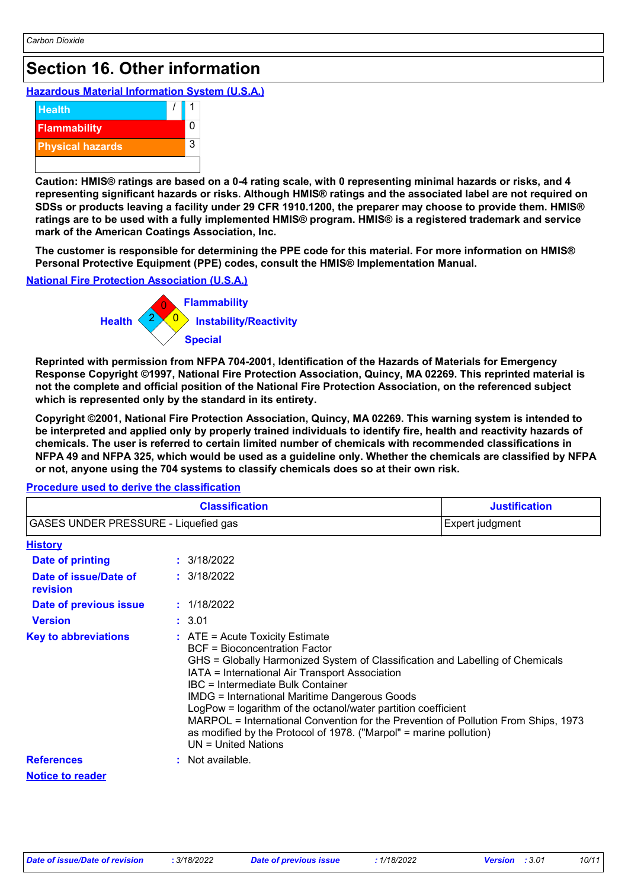### **Section 16. Other information**

**Hazardous Material Information System (U.S.A.)**



**Caution: HMIS® ratings are based on a 0-4 rating scale, with 0 representing minimal hazards or risks, and 4 representing significant hazards or risks. Although HMIS® ratings and the associated label are not required on SDSs or products leaving a facility under 29 CFR 1910.1200, the preparer may choose to provide them. HMIS® ratings are to be used with a fully implemented HMIS® program. HMIS® is a registered trademark and service mark of the American Coatings Association, Inc.**

**The customer is responsible for determining the PPE code for this material. For more information on HMIS® Personal Protective Equipment (PPE) codes, consult the HMIS® Implementation Manual.**

#### **National Fire Protection Association (U.S.A.)**



**Reprinted with permission from NFPA 704-2001, Identification of the Hazards of Materials for Emergency Response Copyright ©1997, National Fire Protection Association, Quincy, MA 02269. This reprinted material is not the complete and official position of the National Fire Protection Association, on the referenced subject which is represented only by the standard in its entirety.**

**Copyright ©2001, National Fire Protection Association, Quincy, MA 02269. This warning system is intended to be interpreted and applied only by properly trained individuals to identify fire, health and reactivity hazards of chemicals. The user is referred to certain limited number of chemicals with recommended classifications in NFPA 49 and NFPA 325, which would be used as a guideline only. Whether the chemicals are classified by NFPA or not, anyone using the 704 systems to classify chemicals does so at their own risk.**

| <b>Classification</b><br>GASES UNDER PRESSURE - Liquefied gas |                                                                                                                                         | <b>Justification</b>                                                                                                                                                                                                                                                                                                                                                                                                 |  |  |
|---------------------------------------------------------------|-----------------------------------------------------------------------------------------------------------------------------------------|----------------------------------------------------------------------------------------------------------------------------------------------------------------------------------------------------------------------------------------------------------------------------------------------------------------------------------------------------------------------------------------------------------------------|--|--|
|                                                               |                                                                                                                                         | Expert judgment                                                                                                                                                                                                                                                                                                                                                                                                      |  |  |
| <b>History</b>                                                |                                                                                                                                         |                                                                                                                                                                                                                                                                                                                                                                                                                      |  |  |
| <b>Date of printing</b>                                       | : 3/18/2022                                                                                                                             |                                                                                                                                                                                                                                                                                                                                                                                                                      |  |  |
| Date of issue/Date of<br>revision                             | : 3/18/2022                                                                                                                             |                                                                                                                                                                                                                                                                                                                                                                                                                      |  |  |
| Date of previous issue                                        | : 1/18/2022                                                                                                                             |                                                                                                                                                                                                                                                                                                                                                                                                                      |  |  |
| <b>Version</b>                                                | : 3.01                                                                                                                                  |                                                                                                                                                                                                                                                                                                                                                                                                                      |  |  |
| <b>Key to abbreviations</b>                                   | $:$ ATE = Acute Toxicity Estimate<br><b>BCF</b> = Bioconcentration Factor<br>IBC = Intermediate Bulk Container<br>$UN = United Nations$ | GHS = Globally Harmonized System of Classification and Labelling of Chemicals<br>IATA = International Air Transport Association<br><b>IMDG = International Maritime Dangerous Goods</b><br>LogPow = logarithm of the octanol/water partition coefficient<br>MARPOL = International Convention for the Prevention of Pollution From Ships, 1973<br>as modified by the Protocol of 1978. ("Marpol" = marine pollution) |  |  |
| <b>References</b>                                             | : Not available.                                                                                                                        |                                                                                                                                                                                                                                                                                                                                                                                                                      |  |  |
| <b>Notice to reader</b>                                       |                                                                                                                                         |                                                                                                                                                                                                                                                                                                                                                                                                                      |  |  |

#### **Procedure used to derive the classification**